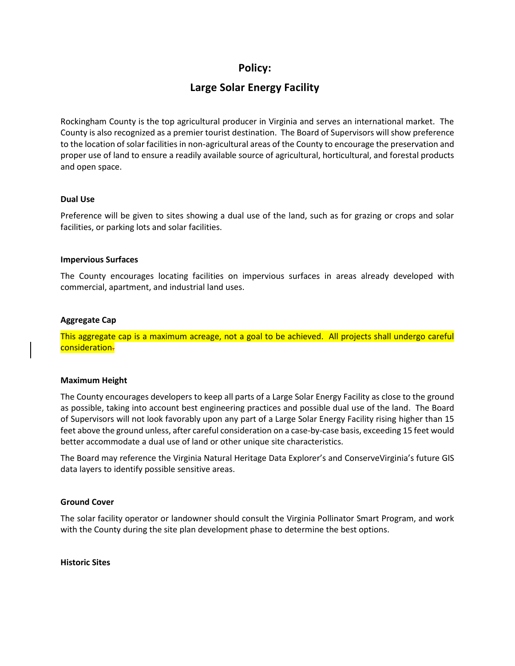# **Policy:**

# **Large Solar Energy Facility**

Rockingham County is the top agricultural producer in Virginia and serves an international market. The County is also recognized as a premier tourist destination. The Board of Supervisors will show preference to the location of solar facilities in non-agricultural areas of the County to encourage the preservation and proper use of land to ensure a readily available source of agricultural, horticultural, and forestal products and open space.

### **Dual Use**

Preference will be given to sites showing a dual use of the land, such as for grazing or crops and solar facilities, or parking lots and solar facilities.

### **Impervious Surfaces**

The County encourages locating facilities on impervious surfaces in areas already developed with commercial, apartment, and industrial land uses.

### **Aggregate Cap**

This aggregate cap is a maximum acreage, not a goal to be achieved. All projects shall undergo careful consideration.

### **Maximum Height**

The County encourages developers to keep all parts of a Large Solar Energy Facility as close to the ground as possible, taking into account best engineering practices and possible dual use of the land. The Board of Supervisors will not look favorably upon any part of a Large Solar Energy Facility rising higher than 15 feet above the ground unless, after careful consideration on a case-by-case basis, exceeding 15 feet would better accommodate a dual use of land or other unique site characteristics.

The Board may reference the Virginia Natural Heritage Data Explorer's and ConserveVirginia's future GIS data layers to identify possible sensitive areas.

### **Ground Cover**

The solar facility operator or landowner should consult the Virginia Pollinator Smart Program, and work with the County during the site plan development phase to determine the best options.

**Historic Sites**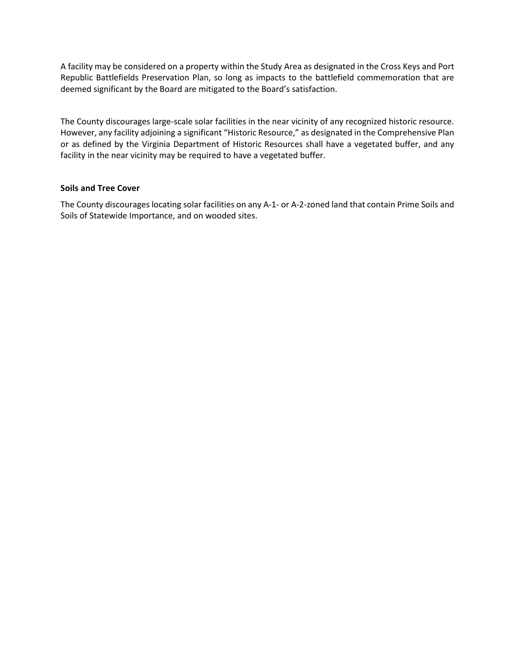A facility may be considered on a property within the Study Area as designated in the Cross Keys and Port Republic Battlefields Preservation Plan, so long as impacts to the battlefield commemoration that are deemed significant by the Board are mitigated to the Board's satisfaction.

The County discourages large-scale solar facilities in the near vicinity of any recognized historic resource. However, any facility adjoining a significant "Historic Resource," as designated in the Comprehensive Plan or as defined by the Virginia Department of Historic Resources shall have a vegetated buffer, and any facility in the near vicinity may be required to have a vegetated buffer.

# **Soils and Tree Cover**

The County discourages locating solar facilities on any A-1- or A-2-zoned land that contain Prime Soils and Soils of Statewide Importance, and on wooded sites.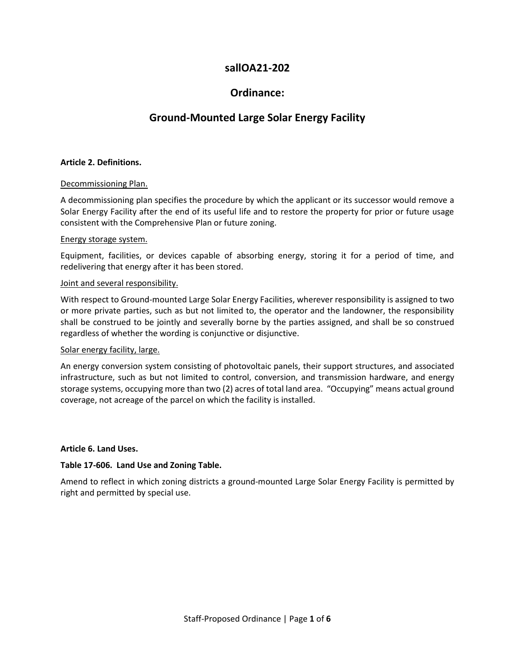# **sallOA21-202**

# **Ordinance:**

# **Ground-Mounted Large Solar Energy Facility**

# **Article 2. Definitions.**

### Decommissioning Plan.

A decommissioning plan specifies the procedure by which the applicant or its successor would remove a Solar Energy Facility after the end of its useful life and to restore the property for prior or future usage consistent with the Comprehensive Plan or future zoning.

### Energy storage system.

Equipment, facilities, or devices capable of absorbing energy, storing it for a period of time, and redelivering that energy after it has been stored.

### Joint and several responsibility.

With respect to Ground-mounted Large Solar Energy Facilities, wherever responsibility is assigned to two or more private parties, such as but not limited to, the operator and the landowner, the responsibility shall be construed to be jointly and severally borne by the parties assigned, and shall be so construed regardless of whether the wording is conjunctive or disjunctive.

# Solar energy facility, large.

An energy conversion system consisting of photovoltaic panels, their support structures, and associated infrastructure, such as but not limited to control, conversion, and transmission hardware, and energy storage systems, occupying more than two (2) acres of total land area. "Occupying" means actual ground coverage, not acreage of the parcel on which the facility is installed.

# **Article 6. Land Uses.**

# **Table 17-606. Land Use and Zoning Table.**

Amend to reflect in which zoning districts a ground-mounted Large Solar Energy Facility is permitted by right and permitted by special use.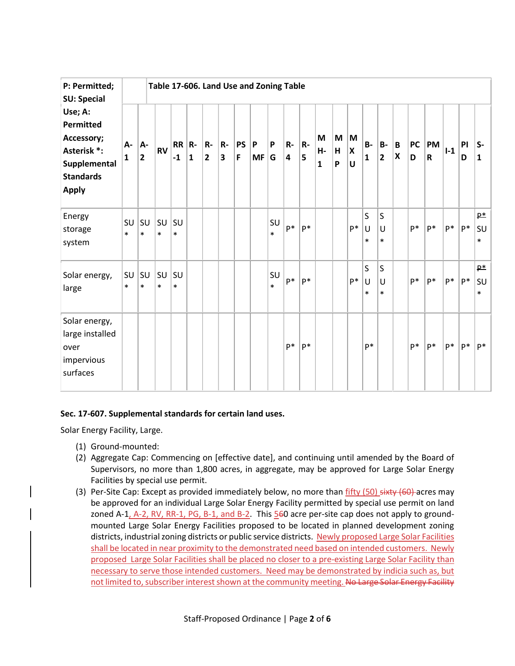| P: Permitted;<br><b>SU: Special</b><br>Use; A:<br>Permitted<br>Accessory;<br>Asterisk *:<br>Supplemental<br><b>Standards</b><br><b>Apply</b> | Table 17-606. Land Use and Zoning Table |                               |              |                    |              |                    |           |                |                |              |         |         |                         |             |                       |                  |                             |                                |                |                   |       |         |                       |
|----------------------------------------------------------------------------------------------------------------------------------------------|-----------------------------------------|-------------------------------|--------------|--------------------|--------------|--------------------|-----------|----------------|----------------|--------------|---------|---------|-------------------------|-------------|-----------------------|------------------|-----------------------------|--------------------------------|----------------|-------------------|-------|---------|-----------------------|
|                                                                                                                                              | А-<br>1                                 | A-<br>$\overline{\mathbf{2}}$ | <b>RV</b>    | $RR$ $R$ -<br>$-1$ | $\mathbf{1}$ | R-<br>$\mathbf{2}$ | $R-$<br>3 | <b>PS</b><br>F | P<br><b>MF</b> | P<br>G       | R-<br>4 | R-<br>5 | M<br>Н-<br>$\mathbf{1}$ | M<br>H<br>P | M<br>X<br>$\mathbf U$ | <b>B-</b><br>1   | <b>B-</b><br>$\overline{2}$ | B<br>$\boldsymbol{\mathsf{x}}$ | <b>PC</b><br>D | PM<br>$\mathbf R$ | $I-1$ | PI<br>D | ls-<br>$\mathbf{1}$   |
| Energy<br>storage<br>system                                                                                                                  | SU<br>$\ast$                            | su<br>$\ast$                  | SU<br>$\ast$ | SU<br>$\ast$       |              |                    |           |                |                | SU<br>$\ast$ | $P*$    | $P*$    |                         |             | $P*$                  | S<br>U<br>$\ast$ | S<br>U<br>$\ast$            |                                | p*             | p*                | P*    | $P*$    | $P*$<br>SU<br>$\ast$  |
| Solar energy,<br>large                                                                                                                       | SU<br>$\ast$                            | SU<br>$\ast$                  | SU<br>$\ast$ | SU<br>$\ast$       |              |                    |           |                |                | SU<br>$\ast$ | $P*$    | $P*$    |                         |             | $P*$                  | S<br>U<br>$\ast$ | $\sf S$<br>U<br>$\ast$      |                                | $P*$           | $P^*$             | $P^*$ | $P^*$   | $P^*$<br>SU<br>$\ast$ |
| Solar energy,<br>large installed<br>over<br>impervious<br>surfaces                                                                           |                                         |                               |              |                    |              |                    |           |                |                |              | $P^*$   | $P*$    |                         |             |                       | p*               |                             |                                | $P^*$          | $P*$              | $P^*$ | $P^*$   | $P^*$                 |

# **Sec. 17-607. Supplemental standards for certain land uses.**

Solar Energy Facility, Large.

- (1) Ground-mounted:
- (2) Aggregate Cap: Commencing on [effective date], and continuing until amended by the Board of Supervisors, no more than 1,800 acres, in aggregate, may be approved for Large Solar Energy Facilities by special use permit.
- (3) Per-Site Cap: Except as provided immediately below, no more than  $fifty$  (50)  $s$ ixty (60) acres may be approved for an individual Large Solar Energy Facility permitted by special use permit on land zoned A-1, A-2, RV, RR-1, PG, B-1, and B-2. This 560 acre per-site cap does not apply to groundmounted Large Solar Energy Facilities proposed to be located in planned development zoning districts, industrial zoning districts or public service districts. Newly proposed Large Solar Facilities shall be located in near proximity to the demonstrated need based on intended customers. Newly proposed Large Solar Facilities shall be placed no closer to a pre-existing Large Solar Facility than necessary to serve those intended customers. Need may be demonstrated by indicia such as, but not limited to, subscriber interest shown at the community meeting. No Large Solar Energy Facility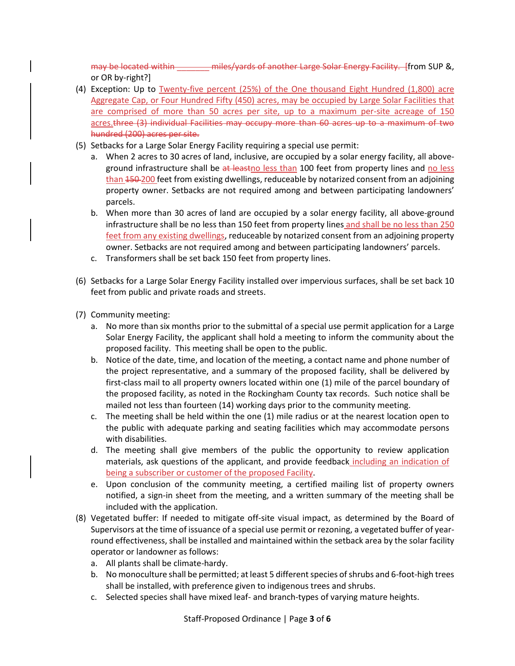may be located within **the millips-wards of another Large Solar Energy Facility.** [from SUP &, or OR by-right?]

- (4) Exception: Up to Twenty-five percent (25%) of the One thousand Eight Hundred (1,800) acre Aggregate Cap, or Four Hundred Fifty (450) acres, may be occupied by Large Solar Facilities that are comprised of more than 50 acres per site, up to a maximum per-site acreage of 150 acres.three (3) individual Facilities may occupy more than 60 acres up to a maximum of two hundred (200) acres per site.
- (5) Setbacks for a Large Solar Energy Facility requiring a special use permit:
	- a. When 2 acres to 30 acres of land, inclusive, are occupied by a solar energy facility, all aboveground infrastructure shall be at leastno less than 100 feet from property lines and no less than 150-200 feet from existing dwellings, reduceable by notarized consent from an adjoining property owner. Setbacks are not required among and between participating landowners' parcels.
	- b. When more than 30 acres of land are occupied by a solar energy facility, all above-ground infrastructure shall be no less than 150 feet from property lines and shall be no less than 250 feet from any existing dwellings, reduceable by notarized consent from an adjoining property owner. Setbacks are not required among and between participating landowners' parcels.
	- c. Transformers shall be set back 150 feet from property lines.
- (6) Setbacks for a Large Solar Energy Facility installed over impervious surfaces, shall be set back 10 feet from public and private roads and streets.
- (7) Community meeting:
	- a. No more than six months prior to the submittal of a special use permit application for a Large Solar Energy Facility, the applicant shall hold a meeting to inform the community about the proposed facility. This meeting shall be open to the public.
	- b. Notice of the date, time, and location of the meeting, a contact name and phone number of the project representative, and a summary of the proposed facility, shall be delivered by first-class mail to all property owners located within one (1) mile of the parcel boundary of the proposed facility, as noted in the Rockingham County tax records. Such notice shall be mailed not less than fourteen (14) working days prior to the community meeting.
	- c. The meeting shall be held within the one (1) mile radius or at the nearest location open to the public with adequate parking and seating facilities which may accommodate persons with disabilities.
	- d. The meeting shall give members of the public the opportunity to review application materials, ask questions of the applicant, and provide feedback including an indication of being a subscriber or customer of the proposed Facility.
	- e. Upon conclusion of the community meeting, a certified mailing list of property owners notified, a sign-in sheet from the meeting, and a written summary of the meeting shall be included with the application.
- (8) Vegetated buffer: If needed to mitigate off-site visual impact, as determined by the Board of Supervisors at the time of issuance of a special use permit or rezoning, a vegetated buffer of yearround effectiveness, shall be installed and maintained within the setback area by the solar facility operator or landowner as follows:
	- a. All plants shall be climate-hardy.
	- b. No monoculture shall be permitted; at least 5 different species of shrubs and 6-foot-high trees shall be installed, with preference given to indigenous trees and shrubs.
	- c. Selected species shall have mixed leaf- and branch-types of varying mature heights.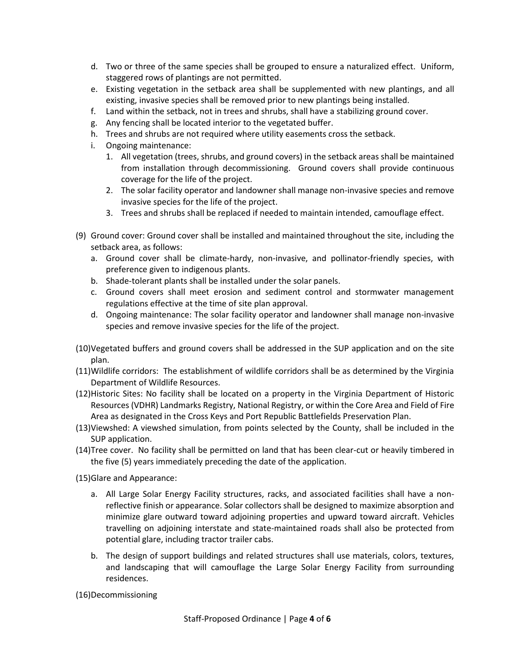- d. Two or three of the same species shall be grouped to ensure a naturalized effect. Uniform, staggered rows of plantings are not permitted.
- e. Existing vegetation in the setback area shall be supplemented with new plantings, and all existing, invasive species shall be removed prior to new plantings being installed.
- f. Land within the setback, not in trees and shrubs, shall have a stabilizing ground cover.
- g. Any fencing shall be located interior to the vegetated buffer.
- h. Trees and shrubs are not required where utility easements cross the setback.
- i. Ongoing maintenance:
	- 1. All vegetation (trees, shrubs, and ground covers) in the setback areas shall be maintained from installation through decommissioning. Ground covers shall provide continuous coverage for the life of the project.
	- 2. The solar facility operator and landowner shall manage non-invasive species and remove invasive species for the life of the project.
	- 3. Trees and shrubs shall be replaced if needed to maintain intended, camouflage effect.
- (9) Ground cover: Ground cover shall be installed and maintained throughout the site, including the setback area, as follows:
	- a. Ground cover shall be climate-hardy, non-invasive, and pollinator-friendly species, with preference given to indigenous plants.
	- b. Shade-tolerant plants shall be installed under the solar panels.
	- c. Ground covers shall meet erosion and sediment control and stormwater management regulations effective at the time of site plan approval.
	- d. Ongoing maintenance: The solar facility operator and landowner shall manage non-invasive species and remove invasive species for the life of the project.
- (10)Vegetated buffers and ground covers shall be addressed in the SUP application and on the site plan.
- (11)Wildlife corridors: The establishment of wildlife corridors shall be as determined by the Virginia Department of Wildlife Resources.
- (12)Historic Sites: No facility shall be located on a property in the Virginia Department of Historic Resources (VDHR) Landmarks Registry, National Registry, or within the Core Area and Field of Fire Area as designated in the Cross Keys and Port Republic Battlefields Preservation Plan.
- (13)Viewshed: A viewshed simulation, from points selected by the County, shall be included in the SUP application.
- (14)Tree cover. No facility shall be permitted on land that has been clear-cut or heavily timbered in the five (5) years immediately preceding the date of the application.
- (15)Glare and Appearance:
	- a. All Large Solar Energy Facility structures, racks, and associated facilities shall have a nonreflective finish or appearance. Solar collectors shall be designed to maximize absorption and minimize glare outward toward adjoining properties and upward toward aircraft. Vehicles travelling on adjoining interstate and state-maintained roads shall also be protected from potential glare, including tractor trailer cabs.
	- b. The design of support buildings and related structures shall use materials, colors, textures, and landscaping that will camouflage the Large Solar Energy Facility from surrounding residences.

(16)Decommissioning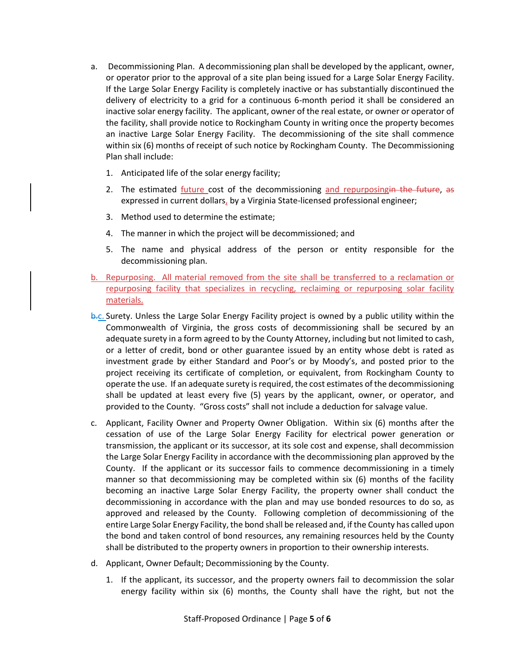- a. Decommissioning Plan. A decommissioning plan shall be developed by the applicant, owner, or operator prior to the approval of a site plan being issued for a Large Solar Energy Facility. If the Large Solar Energy Facility is completely inactive or has substantially discontinued the delivery of electricity to a grid for a continuous 6-month period it shall be considered an inactive solar energy facility. The applicant, owner of the real estate, or owner or operator of the facility, shall provide notice to Rockingham County in writing once the property becomes an inactive Large Solar Energy Facility. The decommissioning of the site shall commence within six (6) months of receipt of such notice by Rockingham County. The Decommissioning Plan shall include:
	- 1. Anticipated life of the solar energy facility;
	- 2. The estimated *future* cost of the decommissioning and repurposingin the future, as expressed in current dollars, by a Virginia State-licensed professional engineer;
	- 3. Method used to determine the estimate;
	- 4. The manner in which the project will be decommissioned; and
	- 5. The name and physical address of the person or entity responsible for the decommissioning plan.
- b. Repurposing. All material removed from the site shall be transferred to a reclamation or repurposing facility that specializes in recycling, reclaiming or repurposing solar facility materials.
- b.c. Surety. Unless the Large Solar Energy Facility project is owned by a public utility within the Commonwealth of Virginia, the gross costs of decommissioning shall be secured by an adequate surety in a form agreed to by the County Attorney, including but not limited to cash, or a letter of credit, bond or other guarantee issued by an entity whose debt is rated as investment grade by either Standard and Poor's or by Moody's, and posted prior to the project receiving its certificate of completion, or equivalent, from Rockingham County to operate the use. If an adequate surety is required, the cost estimates of the decommissioning shall be updated at least every five (5) years by the applicant, owner, or operator, and provided to the County. "Gross costs" shall not include a deduction for salvage value.
- c. Applicant, Facility Owner and Property Owner Obligation. Within six (6) months after the cessation of use of the Large Solar Energy Facility for electrical power generation or transmission, the applicant or its successor, at its sole cost and expense, shall decommission the Large Solar Energy Facility in accordance with the decommissioning plan approved by the County. If the applicant or its successor fails to commence decommissioning in a timely manner so that decommissioning may be completed within six (6) months of the facility becoming an inactive Large Solar Energy Facility, the property owner shall conduct the decommissioning in accordance with the plan and may use bonded resources to do so, as approved and released by the County. Following completion of decommissioning of the entire Large Solar Energy Facility, the bond shall be released and, if the County has called upon the bond and taken control of bond resources, any remaining resources held by the County shall be distributed to the property owners in proportion to their ownership interests.
- d. Applicant, Owner Default; Decommissioning by the County.
	- 1. If the applicant, its successor, and the property owners fail to decommission the solar energy facility within six (6) months, the County shall have the right, but not the